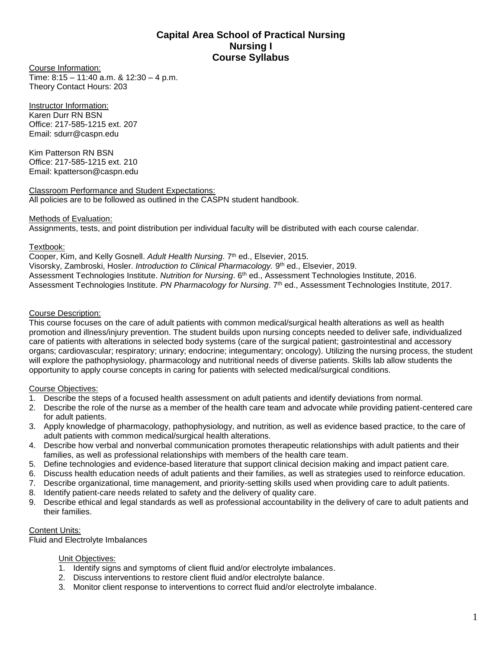# **Capital Area School of Practical Nursing Nursing I Course Syllabus**

Course Information: Time: 8:15 – 11:40 a.m. & 12:30 – 4 p.m. Theory Contact Hours: 203

Instructor Information: Karen Durr RN BSN Office: 217-585-1215 ext. 207 Email: sdurr@caspn.edu

Kim Patterson RN BSN Office: 217-585-1215 ext. 210 Email: kpatterson@caspn.edu

Classroom Performance and Student Expectations: All policies are to be followed as outlined in the CASPN student handbook.

# Methods of Evaluation:

Assignments, tests, and point distribution per individual faculty will be distributed with each course calendar.

## Textbook:

Cooper, Kim, and Kelly Gosnell. *Adult Health Nursing*. 7<sup>th</sup> ed., Elsevier, 2015. Visorsky, Zambroski, Hosler. *Introduction to Clinical Pharmacology.* 9 th ed., Elsevier, 2019. Assessment Technologies Institute. *Nutrition for Nursing*. 6th ed., Assessment Technologies Institute, 2016. Assessment Technologies Institute. *PN Pharmacology for Nursing*. 7th ed., Assessment Technologies Institute, 2017.

# Course Description:

This course focuses on the care of adult patients with common medical/surgical health alterations as well as health promotion and illness/injury prevention. The student builds upon nursing concepts needed to deliver safe, individualized care of patients with alterations in selected body systems (care of the surgical patient; gastrointestinal and accessory organs; cardiovascular; respiratory; urinary; endocrine; integumentary; oncology). Utilizing the nursing process, the student will explore the pathophysiology, pharmacology and nutritional needs of diverse patients. Skills lab allow students the opportunity to apply course concepts in caring for patients with selected medical/surgical conditions.

# Course Objectives:

- 1. Describe the steps of a focused health assessment on adult patients and identify deviations from normal.
- 2. Describe the role of the nurse as a member of the health care team and advocate while providing patient-centered care for adult patients.
- 3. Apply knowledge of pharmacology, pathophysiology, and nutrition, as well as evidence based practice, to the care of adult patients with common medical/surgical health alterations.
- 4. Describe how verbal and nonverbal communication promotes therapeutic relationships with adult patients and their families, as well as professional relationships with members of the health care team.
- 5. Define technologies and evidence-based literature that support clinical decision making and impact patient care.
- 6. Discuss health education needs of adult patients and their families, as well as strategies used to reinforce education.
- 7. Describe organizational, time management, and priority-setting skills used when providing care to adult patients.
- 8. Identify patient-care needs related to safety and the delivery of quality care.
- 9. Describe ethical and legal standards as well as professional accountability in the delivery of care to adult patients and their families.

# Content Units:

Fluid and Electrolyte Imbalances

# Unit Objectives:

- 1. Identify signs and symptoms of client fluid and/or electrolyte imbalances.
- 2. Discuss interventions to restore client fluid and/or electrolyte balance.
- 3. Monitor client response to interventions to correct fluid and/or electrolyte imbalance.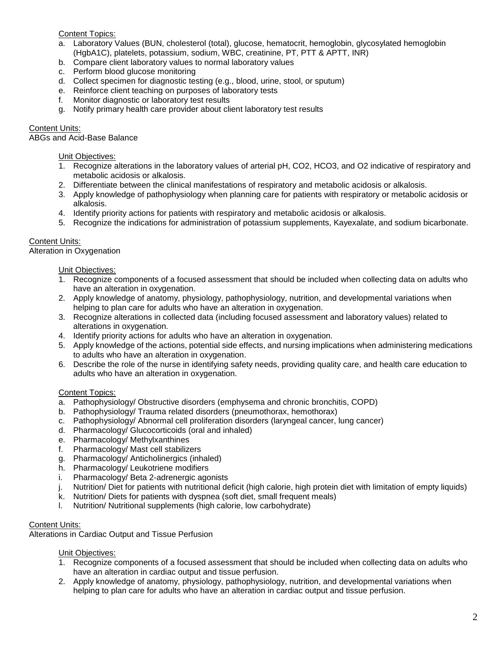## Content Topics:

- a. Laboratory Values (BUN, cholesterol (total), glucose, hematocrit, hemoglobin, glycosylated hemoglobin (HgbA1C), platelets, potassium, sodium, WBC, creatinine, PT, PTT & APTT, INR)
- b. Compare client laboratory values to normal laboratory values
- c. Perform blood glucose monitoring
- d. Collect specimen for diagnostic testing (e.g., blood, urine, stool, or sputum)
- e. Reinforce client teaching on purposes of laboratory tests
- f. Monitor diagnostic or laboratory test results
- g. Notify primary health care provider about client laboratory test results

## Content Units:

ABGs and Acid-Base Balance

#### Unit Objectives:

- 1. Recognize alterations in the laboratory values of arterial pH, CO2, HCO3, and O2 indicative of respiratory and metabolic acidosis or alkalosis.
- 2. Differentiate between the clinical manifestations of respiratory and metabolic acidosis or alkalosis.
- 3. Apply knowledge of pathophysiology when planning care for patients with respiratory or metabolic acidosis or alkalosis.
- 4. Identify priority actions for patients with respiratory and metabolic acidosis or alkalosis.
- 5. Recognize the indications for administration of potassium supplements, Kayexalate, and sodium bicarbonate.

## Content Units:

Alteration in Oxygenation

#### Unit Objectives:

- 1. Recognize components of a focused assessment that should be included when collecting data on adults who have an alteration in oxygenation.
- 2. Apply knowledge of anatomy, physiology, pathophysiology, nutrition, and developmental variations when helping to plan care for adults who have an alteration in oxygenation.
- 3. Recognize alterations in collected data (including focused assessment and laboratory values) related to alterations in oxygenation.
- 4. Identify priority actions for adults who have an alteration in oxygenation.
- 5. Apply knowledge of the actions, potential side effects, and nursing implications when administering medications to adults who have an alteration in oxygenation.
- 6. Describe the role of the nurse in identifying safety needs, providing quality care, and health care education to adults who have an alteration in oxygenation.

#### Content Topics:

- a. Pathophysiology/ Obstructive disorders (emphysema and chronic bronchitis, COPD)
- b. Pathophysiology/ Trauma related disorders (pneumothorax, hemothorax)
- c. Pathophysiology/ Abnormal cell proliferation disorders (laryngeal cancer, lung cancer)
- d. Pharmacology/ Glucocorticoids (oral and inhaled)
- e. Pharmacology/ Methylxanthines
- f. Pharmacology/ Mast cell stabilizers
- g. Pharmacology/ Anticholinergics (inhaled)
- h. Pharmacology/ Leukotriene modifiers
- i. Pharmacology/ Beta 2-adrenergic agonists
- j. Nutrition/ Diet for patients with nutritional deficit (high calorie, high protein diet with limitation of empty liquids)
- k. Nutrition/ Diets for patients with dyspnea (soft diet, small frequent meals)
- l. Nutrition/ Nutritional supplements (high calorie, low carbohydrate)

#### Content Units:

Alterations in Cardiac Output and Tissue Perfusion

Unit Objectives:

- 1. Recognize components of a focused assessment that should be included when collecting data on adults who have an alteration in cardiac output and tissue perfusion.
- 2. Apply knowledge of anatomy, physiology, pathophysiology, nutrition, and developmental variations when helping to plan care for adults who have an alteration in cardiac output and tissue perfusion.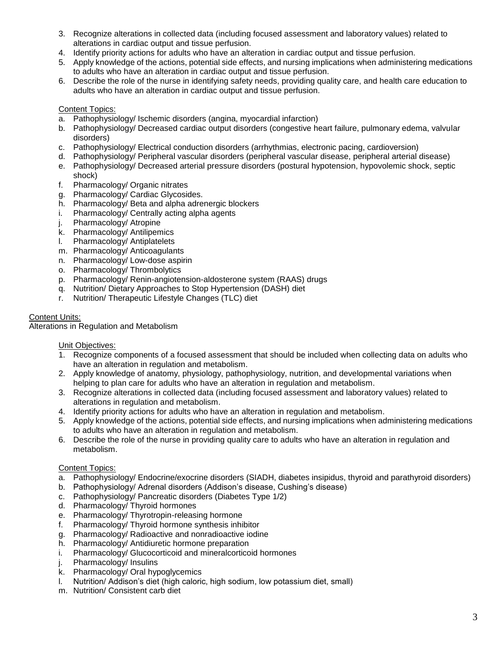- 3. Recognize alterations in collected data (including focused assessment and laboratory values) related to alterations in cardiac output and tissue perfusion.
- 4. Identify priority actions for adults who have an alteration in cardiac output and tissue perfusion.
- 5. Apply knowledge of the actions, potential side effects, and nursing implications when administering medications to adults who have an alteration in cardiac output and tissue perfusion.
- 6. Describe the role of the nurse in identifying safety needs, providing quality care, and health care education to adults who have an alteration in cardiac output and tissue perfusion.

## Content Topics:

- a. Pathophysiology/ Ischemic disorders (angina, myocardial infarction)
- b. Pathophysiology/ Decreased cardiac output disorders (congestive heart failure, pulmonary edema, valvular disorders)
- c. Pathophysiology/ Electrical conduction disorders (arrhythmias, electronic pacing, cardioversion)
- d. Pathophysiology/ Peripheral vascular disorders (peripheral vascular disease, peripheral arterial disease)
- e. Pathophysiology/ Decreased arterial pressure disorders (postural hypotension, hypovolemic shock, septic shock)
- f. Pharmacology/ Organic nitrates
- g. Pharmacology/ Cardiac Glycosides.
- h. Pharmacology/ Beta and alpha adrenergic blockers
- i. Pharmacology/ Centrally acting alpha agents
- j. Pharmacology/ Atropine
- k. Pharmacology/ Antilipemics
- l. Pharmacology/ Antiplatelets
- m. Pharmacology/ Anticoagulants
- n. Pharmacology/ Low-dose aspirin
- o. Pharmacology/ Thrombolytics
- p. Pharmacology/ Renin-angiotension-aldosterone system (RAAS) drugs
- q. Nutrition/ Dietary Approaches to Stop Hypertension (DASH) diet
- r. Nutrition/ Therapeutic Lifestyle Changes (TLC) diet

## Content Units:

Alterations in Regulation and Metabolism

#### Unit Objectives:

- 1. Recognize components of a focused assessment that should be included when collecting data on adults who have an alteration in regulation and metabolism.
- 2. Apply knowledge of anatomy, physiology, pathophysiology, nutrition, and developmental variations when helping to plan care for adults who have an alteration in regulation and metabolism.
- 3. Recognize alterations in collected data (including focused assessment and laboratory values) related to alterations in regulation and metabolism.
- 4. Identify priority actions for adults who have an alteration in regulation and metabolism.
- 5. Apply knowledge of the actions, potential side effects, and nursing implications when administering medications to adults who have an alteration in regulation and metabolism.
- 6. Describe the role of the nurse in providing quality care to adults who have an alteration in regulation and metabolism.

#### Content Topics:

- a. Pathophysiology/ Endocrine/exocrine disorders (SIADH, diabetes insipidus, thyroid and parathyroid disorders)
- b. Pathophysiology/ Adrenal disorders (Addison's disease, Cushing's disease)
- c. Pathophysiology/ Pancreatic disorders (Diabetes Type 1/2)
- d. Pharmacology/ Thyroid hormones
- e. Pharmacology/ Thyrotropin-releasing hormone
- f. Pharmacology/ Thyroid hormone synthesis inhibitor
- g. Pharmacology/ Radioactive and nonradioactive iodine
- h. Pharmacology/ Antidiuretic hormone preparation
- i. Pharmacology/ Glucocorticoid and mineralcorticoid hormones
- j. Pharmacology/ Insulins
- k. Pharmacology/ Oral hypoglycemics
- l. Nutrition/ Addison's diet (high caloric, high sodium, low potassium diet, small)
- m. Nutrition/ Consistent carb diet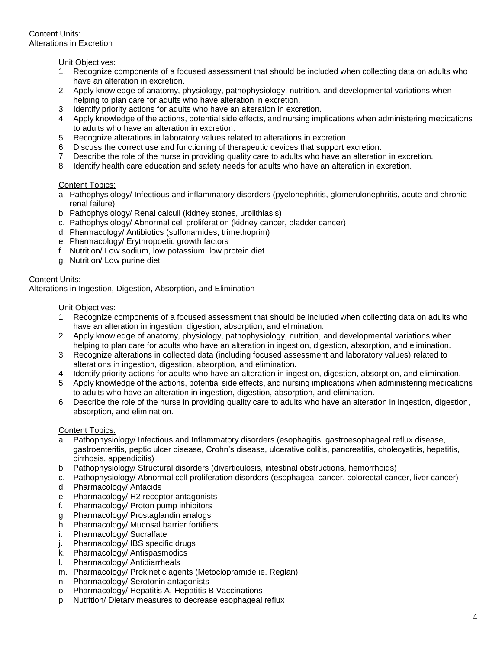## Unit Objectives:

- 1. Recognize components of a focused assessment that should be included when collecting data on adults who have an alteration in excretion.
- 2. Apply knowledge of anatomy, physiology, pathophysiology, nutrition, and developmental variations when helping to plan care for adults who have alteration in excretion.
- 3. Identify priority actions for adults who have an alteration in excretion.
- 4. Apply knowledge of the actions, potential side effects, and nursing implications when administering medications to adults who have an alteration in excretion.
- 5. Recognize alterations in laboratory values related to alterations in excretion.
- 6. Discuss the correct use and functioning of therapeutic devices that support excretion.
- 7. Describe the role of the nurse in providing quality care to adults who have an alteration in excretion.
- 8. Identify health care education and safety needs for adults who have an alteration in excretion.

## Content Topics:

- a. Pathophysiology/ Infectious and inflammatory disorders (pyelonephritis, glomerulonephritis, acute and chronic renal failure)
- b. Pathophysiology/ Renal calculi (kidney stones, urolithiasis)
- c. Pathophysiology/ Abnormal cell proliferation (kidney cancer, bladder cancer)
- d. Pharmacology/ Antibiotics (sulfonamides, trimethoprim)
- e. Pharmacology/ Erythropoetic growth factors
- f. Nutrition/ Low sodium, low potassium, low protein diet
- g. Nutrition/ Low purine diet

## Content Units:

Alterations in Ingestion, Digestion, Absorption, and Elimination

#### Unit Objectives:

- 1. Recognize components of a focused assessment that should be included when collecting data on adults who have an alteration in ingestion, digestion, absorption, and elimination.
- 2. Apply knowledge of anatomy, physiology, pathophysiology, nutrition, and developmental variations when helping to plan care for adults who have an alteration in ingestion, digestion, absorption, and elimination.
- 3. Recognize alterations in collected data (including focused assessment and laboratory values) related to alterations in ingestion, digestion, absorption, and elimination.
- 4. Identify priority actions for adults who have an alteration in ingestion, digestion, absorption, and elimination.
- 5. Apply knowledge of the actions, potential side effects, and nursing implications when administering medications to adults who have an alteration in ingestion, digestion, absorption, and elimination.
- 6. Describe the role of the nurse in providing quality care to adults who have an alteration in ingestion, digestion, absorption, and elimination.

#### Content Topics:

- a. Pathophysiology/ Infectious and Inflammatory disorders (esophagitis, gastroesophageal reflux disease, gastroenteritis, peptic ulcer disease, Crohn's disease, ulcerative colitis, pancreatitis, cholecystitis, hepatitis, cirrhosis, appendicitis)
- b. Pathophysiology/ Structural disorders (diverticulosis, intestinal obstructions, hemorrhoids)
- c. Pathophysiology/ Abnormal cell proliferation disorders (esophageal cancer, colorectal cancer, liver cancer)
- d. Pharmacology/ Antacids
- e. Pharmacology/ H2 receptor antagonists
- f. Pharmacology/ Proton pump inhibitors
- g. Pharmacology/ Prostaglandin analogs
- h. Pharmacology/ Mucosal barrier fortifiers
- i. Pharmacology/ Sucralfate
- j. Pharmacology/ IBS specific drugs
- k. Pharmacology/ Antispasmodics
- l. Pharmacology/ Antidiarrheals
- m. Pharmacology/ Prokinetic agents (Metoclopramide ie. Reglan)
- n. Pharmacology/ Serotonin antagonists
- o. Pharmacology/ Hepatitis A, Hepatitis B Vaccinations
- p. Nutrition/ Dietary measures to decrease esophageal reflux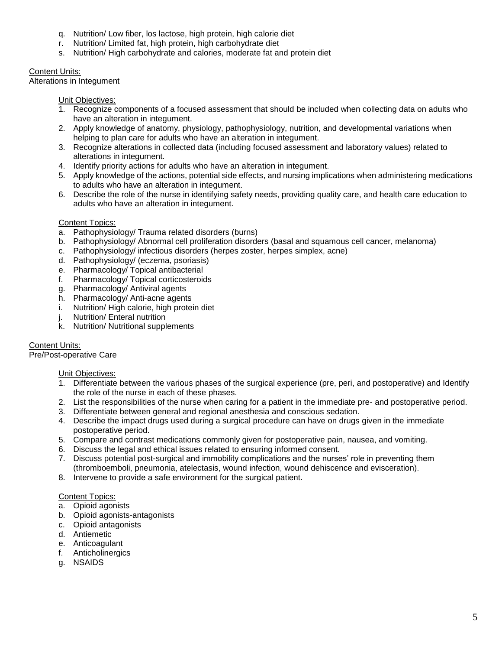- q. Nutrition/ Low fiber, los lactose, high protein, high calorie diet
- r. Nutrition/ Limited fat, high protein, high carbohydrate diet
- s. Nutrition/ High carbohydrate and calories, moderate fat and protein diet

# Content Units:

Alterations in Integument

Unit Objectives:

- 1. Recognize components of a focused assessment that should be included when collecting data on adults who have an alteration in integument.
- 2. Apply knowledge of anatomy, physiology, pathophysiology, nutrition, and developmental variations when helping to plan care for adults who have an alteration in integument.
- 3. Recognize alterations in collected data (including focused assessment and laboratory values) related to alterations in integument.
- 4. Identify priority actions for adults who have an alteration in integument.
- 5. Apply knowledge of the actions, potential side effects, and nursing implications when administering medications to adults who have an alteration in integument.
- 6. Describe the role of the nurse in identifying safety needs, providing quality care, and health care education to adults who have an alteration in integument.

# Content Topics:

- a. Pathophysiology/ Trauma related disorders (burns)
- b. Pathophysiology/ Abnormal cell proliferation disorders (basal and squamous cell cancer, melanoma)
- c. Pathophysiology/ infectious disorders (herpes zoster, herpes simplex, acne)
- d. Pathophysiology/ (eczema, psoriasis)
- e. Pharmacology/ Topical antibacterial
- f. Pharmacology/ Topical corticosteroids
- g. Pharmacology/ Antiviral agents
- h. Pharmacology/ Anti-acne agents
- i. Nutrition/ High calorie, high protein diet
- j. Nutrition/ Enteral nutrition
- k. Nutrition/ Nutritional supplements

Content Units: Pre/Post-operative Care

# Unit Objectives:

- 1. Differentiate between the various phases of the surgical experience (pre, peri, and postoperative) and Identify the role of the nurse in each of these phases.
- 2. List the responsibilities of the nurse when caring for a patient in the immediate pre- and postoperative period.
- 3. Differentiate between general and regional anesthesia and conscious sedation.
- 4. Describe the impact drugs used during a surgical procedure can have on drugs given in the immediate postoperative period.
- 5. Compare and contrast medications commonly given for postoperative pain, nausea, and vomiting.
- 6. Discuss the legal and ethical issues related to ensuring informed consent.
- 7. Discuss potential post-surgical and immobility complications and the nurses' role in preventing them (thromboemboli, pneumonia, atelectasis, wound infection, wound dehiscence and evisceration).
- 8. Intervene to provide a safe environment for the surgical patient.

# Content Topics:

- a. Opioid agonists
- b. Opioid agonists-antagonists
- c. Opioid antagonists
- d. Antiemetic
- e. Anticoagulant
- f. Anticholinergics
- g. NSAIDS